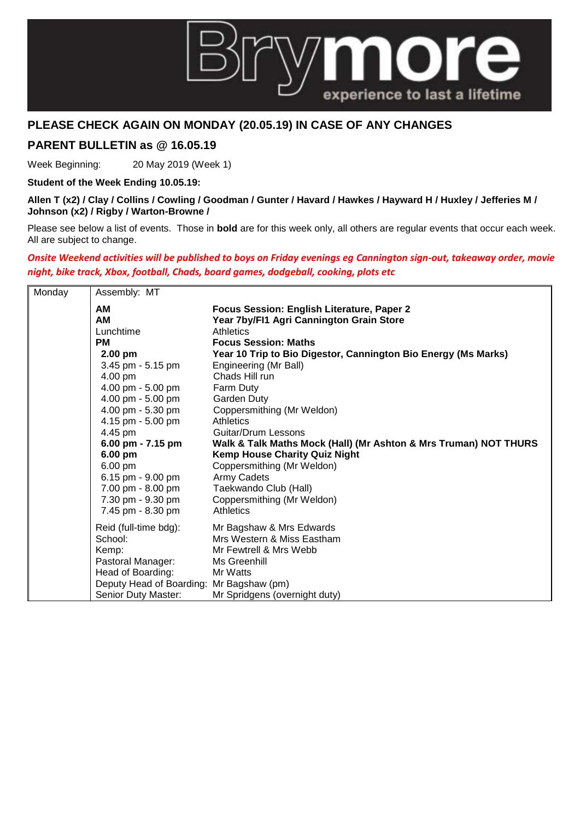

## **PLEASE CHECK AGAIN ON MONDAY (20.05.19) IN CASE OF ANY CHANGES**

## **PARENT BULLETIN as @ 16.05.19**

Week Beginning: 20 May 2019 (Week 1)

**Student of the Week Ending 10.05.19:**

**Allen T (x2) / Clay / Collins / Cowling / Goodman / Gunter / Havard / Hawkes / Hayward H / Huxley / Jefferies M / Johnson (x2) / Rigby / Warton-Browne /** 

Please see below a list of events. Those in **bold** are for this week only, all others are regular events that occur each week. All are subject to change.

## *Onsite Weekend activities will be published to boys on Friday evenings eg Cannington sign-out, takeaway order, movie night, bike track, Xbox, football, Chads, board games, dodgeball, cooking, plots etc*

| Monday | Assembly: MT                                                                                                                                                                                                                                                                      |                                                                                                                                                                                                                                                                                                                                                                                                                                                                                                                                 |
|--------|-----------------------------------------------------------------------------------------------------------------------------------------------------------------------------------------------------------------------------------------------------------------------------------|---------------------------------------------------------------------------------------------------------------------------------------------------------------------------------------------------------------------------------------------------------------------------------------------------------------------------------------------------------------------------------------------------------------------------------------------------------------------------------------------------------------------------------|
|        | <b>AM</b><br><b>AM</b><br>Lunchtime<br><b>PM</b><br>2.00 pm<br>3.45 pm - 5.15 pm<br>4.00 pm<br>4.00 pm - 5.00 pm<br>4.00 pm - 5.00 pm<br>4.00 pm - 5.30 pm<br>4.15 pm - 5.00 pm<br>4.45 pm<br>6.00 pm - 7.15 pm<br>6.00 pm<br>6.00 pm<br>6.15 pm - $9.00$ pm<br>7.00 pm - 8.00 pm | Focus Session: English Literature, Paper 2<br>Year 7by/FI1 Agri Cannington Grain Store<br>Athletics<br><b>Focus Session: Maths</b><br>Year 10 Trip to Bio Digestor, Cannington Bio Energy (Ms Marks)<br>Engineering (Mr Ball)<br>Chads Hill run<br>Farm Duty<br>Garden Duty<br>Coppersmithing (Mr Weldon)<br>Athletics<br>Guitar/Drum Lessons<br>Walk & Talk Maths Mock (Hall) (Mr Ashton & Mrs Truman) NOT THURS<br><b>Kemp House Charity Quiz Night</b><br>Coppersmithing (Mr Weldon)<br>Army Cadets<br>Taekwando Club (Hall) |
|        | 7.30 pm - 9.30 pm<br>7.45 pm - 8.30 pm                                                                                                                                                                                                                                            | Coppersmithing (Mr Weldon)<br>Athletics                                                                                                                                                                                                                                                                                                                                                                                                                                                                                         |
|        | Reid (full-time bdg):<br>School:<br>Kemp:<br>Pastoral Manager:<br>Head of Boarding:<br>Deputy Head of Boarding: Mr Bagshaw (pm)                                                                                                                                                   | Mr Bagshaw & Mrs Edwards<br>Mrs Western & Miss Eastham<br>Mr Fewtrell & Mrs Webb<br>Ms Greenhill<br>Mr Watts                                                                                                                                                                                                                                                                                                                                                                                                                    |
|        | Senior Duty Master:                                                                                                                                                                                                                                                               | Mr Spridgens (overnight duty)                                                                                                                                                                                                                                                                                                                                                                                                                                                                                                   |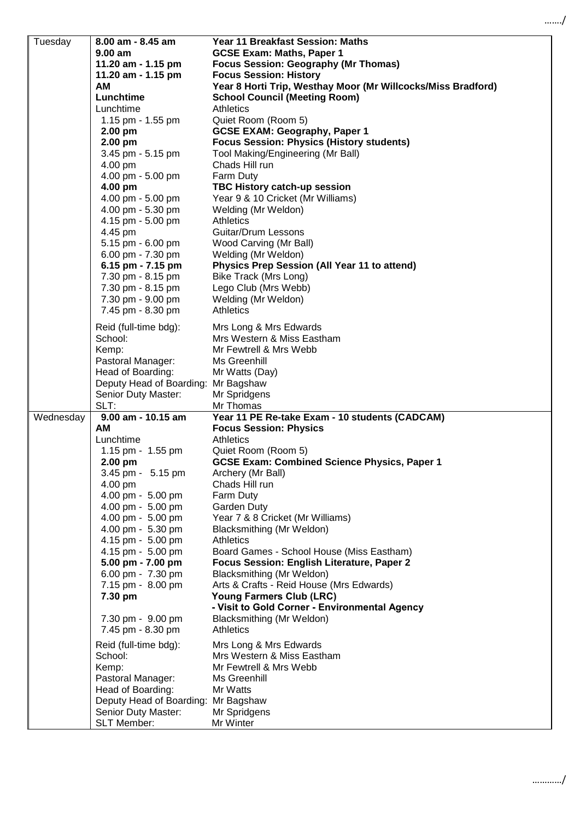| Tuesday   | 8.00 am - 8.45 am                      | <b>Year 11 Breakfast Session: Maths</b>                                 |
|-----------|----------------------------------------|-------------------------------------------------------------------------|
|           | $9.00$ am                              | <b>GCSE Exam: Maths, Paper 1</b>                                        |
|           | 11.20 am - 1.15 pm                     | <b>Focus Session: Geography (Mr Thomas)</b>                             |
|           | 11.20 am - 1.15 pm                     | <b>Focus Session: History</b>                                           |
|           | AM                                     | Year 8 Horti Trip, Westhay Moor (Mr Willcocks/Miss Bradford)            |
|           | Lunchtime                              | <b>School Council (Meeting Room)</b>                                    |
|           | Lunchtime<br>1.15 pm - 1.55 pm         | <b>Athletics</b><br>Quiet Room (Room 5)                                 |
|           | $2.00$ pm                              | <b>GCSE EXAM: Geography, Paper 1</b>                                    |
|           | $2.00$ pm                              | <b>Focus Session: Physics (History students)</b>                        |
|           | 3.45 pm - 5.15 pm                      | Tool Making/Engineering (Mr Ball)                                       |
|           | 4.00 pm                                | Chads Hill run                                                          |
|           | 4.00 pm - 5.00 pm                      | Farm Duty                                                               |
|           | 4.00 pm                                | TBC History catch-up session                                            |
|           | 4.00 pm - 5.00 pm                      | Year 9 & 10 Cricket (Mr Williams)                                       |
|           | 4.00 pm - 5.30 pm                      | Welding (Mr Weldon)                                                     |
|           | 4.15 pm - 5.00 pm                      | Athletics                                                               |
|           | 4.45 pm                                | Guitar/Drum Lessons                                                     |
|           | 5.15 pm - 6.00 pm<br>6.00 pm - 7.30 pm | Wood Carving (Mr Ball)<br>Welding (Mr Weldon)                           |
|           | 6.15 pm - $7.15$ pm                    | Physics Prep Session (All Year 11 to attend)                            |
|           | 7.30 pm - 8.15 pm                      | Bike Track (Mrs Long)                                                   |
|           | 7.30 pm - 8.15 pm                      | Lego Club (Mrs Webb)                                                    |
|           | 7.30 pm - 9.00 pm                      | Welding (Mr Weldon)                                                     |
|           | 7.45 pm - 8.30 pm                      | <b>Athletics</b>                                                        |
|           | Reid (full-time bdg):                  | Mrs Long & Mrs Edwards                                                  |
|           | School:                                | Mrs Western & Miss Eastham                                              |
|           | Kemp:                                  | Mr Fewtrell & Mrs Webb                                                  |
|           | Pastoral Manager:                      | Ms Greenhill                                                            |
|           | Head of Boarding:                      | Mr Watts (Day)                                                          |
|           | Deputy Head of Boarding: Mr Bagshaw    |                                                                         |
|           | Senior Duty Master:                    | Mr Spridgens                                                            |
|           | SLT:                                   | Mr Thomas                                                               |
| Wednesday | 9.00 am - 10.15 am                     | Year 11 PE Re-take Exam - 10 students (CADCAM)                          |
|           | AM<br>Lunchtime                        | <b>Focus Session: Physics</b><br>Athletics                              |
|           | 1.15 pm - 1.55 pm                      | Quiet Room (Room 5)                                                     |
|           | 2.00 pm                                | <b>GCSE Exam: Combined Science Physics, Paper 1</b>                     |
|           | 3.45 pm - 5.15 pm                      | Archery (Mr Ball)                                                       |
|           | 4.00 pm                                | Chads Hill run                                                          |
|           | 4.00 pm - 5.00 pm                      | Farm Duty                                                               |
|           | 4.00 pm - 5.00 pm                      | Garden Duty                                                             |
|           | 4.00 pm - 5.00 pm                      | Year 7 & 8 Cricket (Mr Williams)                                        |
|           | 4.00 pm - 5.30 pm                      | Blacksmithing (Mr Weldon)                                               |
|           | 4.15 pm - 5.00 pm                      | <b>Athletics</b>                                                        |
|           | 4.15 pm - 5.00 pm                      | Board Games - School House (Miss Eastham)                               |
|           | 5.00 pm - 7.00 pm<br>6.00 pm - 7.30 pm | Focus Session: English Literature, Paper 2<br>Blacksmithing (Mr Weldon) |
|           | 7.15 pm - 8.00 pm                      | Arts & Crafts - Reid House (Mrs Edwards)                                |
|           | 7.30 pm                                | Young Farmers Club (LRC)                                                |
|           |                                        | - Visit to Gold Corner - Environmental Agency                           |
|           | 7.30 pm - 9.00 pm                      | Blacksmithing (Mr Weldon)                                               |
|           | 7.45 pm - 8.30 pm                      | <b>Athletics</b>                                                        |
|           | Reid (full-time bdg):                  | Mrs Long & Mrs Edwards                                                  |
|           | School:                                | Mrs Western & Miss Eastham                                              |
|           | Kemp:                                  | Mr Fewtrell & Mrs Webb                                                  |
|           | Pastoral Manager:                      | Ms Greenhill                                                            |
|           | Head of Boarding:                      | Mr Watts                                                                |
|           | Deputy Head of Boarding: Mr Bagshaw    |                                                                         |
|           | Senior Duty Master:                    | Mr Spridgens                                                            |
|           | SLT Member:                            | Mr Winter                                                               |